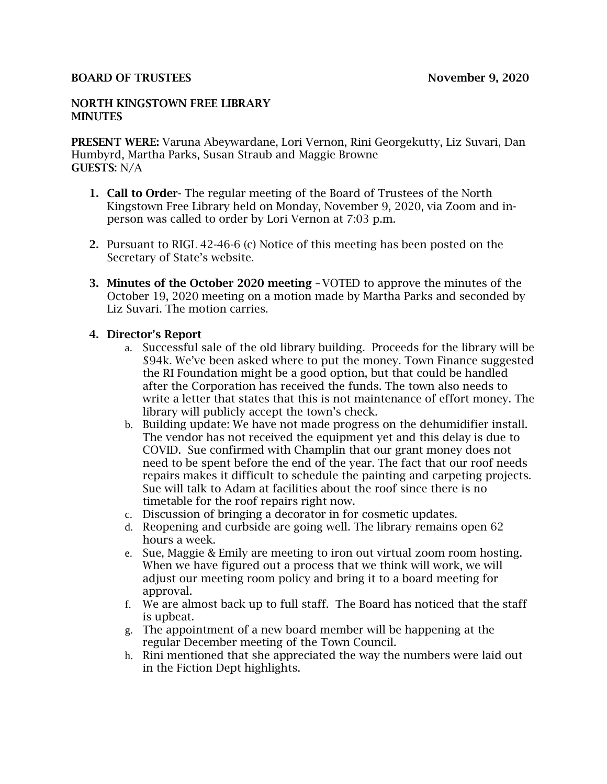#### BOARD OF TRUSTEES November 9, 2020

#### NORTH KINGSTOWN FREE LIBRARY **MINUTES**

PRESENT WERE: Varuna Abeywardane, Lori Vernon, Rini Georgekutty, Liz Suvari, Dan Humbyrd, Martha Parks, Susan Straub and Maggie Browne GUESTS: N/A

- 1. Call to Order- The regular meeting of the Board of Trustees of the North Kingstown Free Library held on Monday, November 9, 2020, via Zoom and inperson was called to order by Lori Vernon at 7:03 p.m.
- 2. Pursuant to RIGL 42-46-6 (c) Notice of this meeting has been posted on the Secretary of State's website.
- 3. Minutes of the October 2020 meeting –VOTED to approve the minutes of the October 19, 2020 meeting on a motion made by Martha Parks and seconded by Liz Suvari. The motion carries.

#### 4. Director's Report

- a. Successful sale of the old library building. Proceeds for the library will be \$94k. We've been asked where to put the money. Town Finance suggested the RI Foundation might be a good option, but that could be handled after the Corporation has received the funds. The town also needs to write a letter that states that this is not maintenance of effort money. The library will publicly accept the town's check.
- b. Building update: We have not made progress on the dehumidifier install. The vendor has not received the equipment yet and this delay is due to COVID. Sue confirmed with Champlin that our grant money does not need to be spent before the end of the year. The fact that our roof needs repairs makes it difficult to schedule the painting and carpeting projects. Sue will talk to Adam at facilities about the roof since there is no timetable for the roof repairs right now.
- c. Discussion of bringing a decorator in for cosmetic updates.
- d. Reopening and curbside are going well. The library remains open 62 hours a week.
- e. Sue, Maggie & Emily are meeting to iron out virtual zoom room hosting. When we have figured out a process that we think will work, we will adjust our meeting room policy and bring it to a board meeting for approval.
- f. We are almost back up to full staff. The Board has noticed that the staff is upbeat.
- g. The appointment of a new board member will be happening at the regular December meeting of the Town Council.
- h. Rini mentioned that she appreciated the way the numbers were laid out in the Fiction Dept highlights.